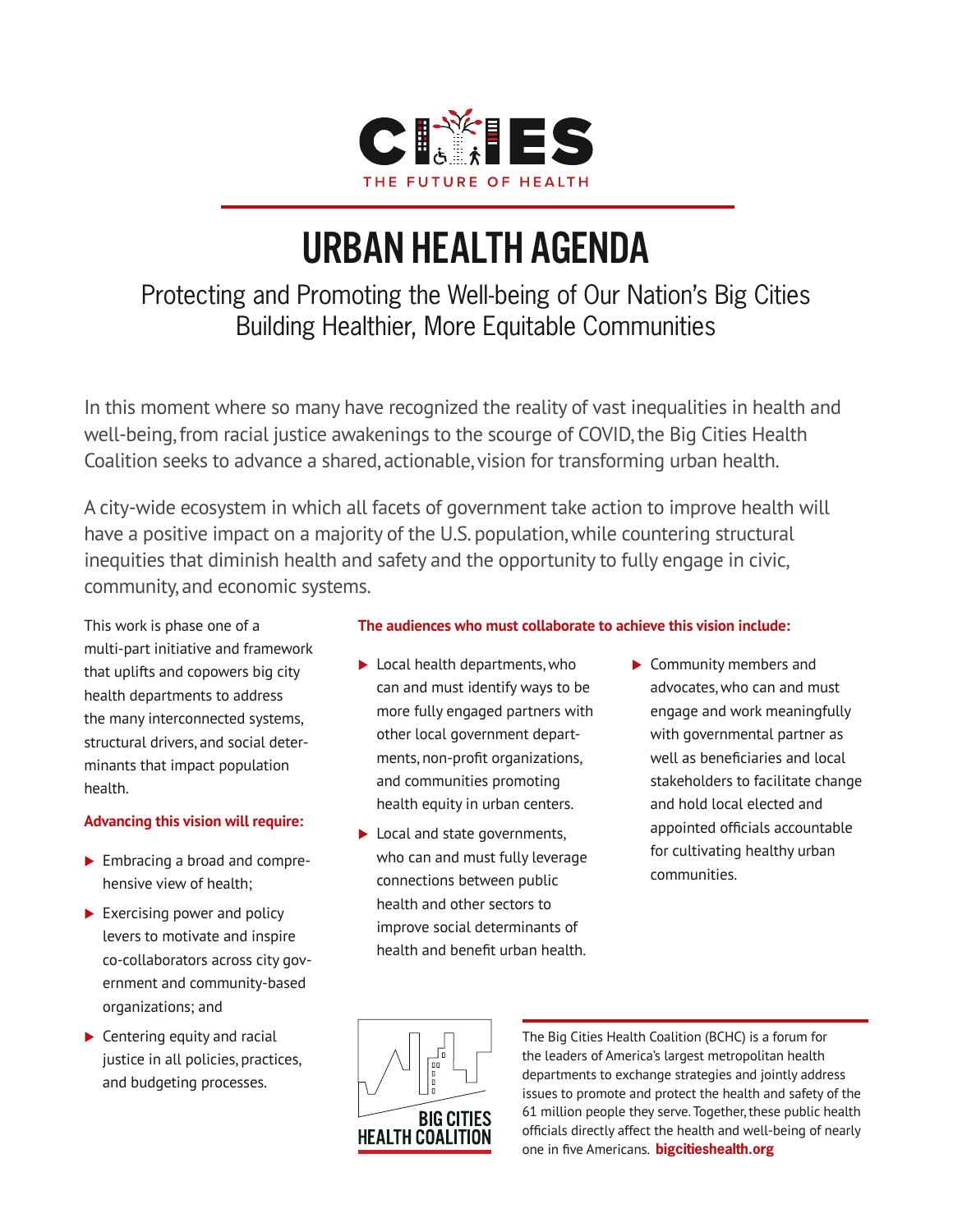

# urban health agenda

## Protecting and Promoting the Well-being of Our Nation's Big Cities Building Healthier, More Equitable Communities

In this moment where so many have recognized the reality of vast inequalities in health and well-being, from racial justice awakenings to the scourge of COVID, the Big Cities Health Coalition seeks to advance a shared, actionable, vision for transforming urban health.

A city-wide ecosystem in which all facets of government take action to improve health will have a positive impact on a majority of the U.S. population, while countering structural inequities that diminish health and safety and the opportunity to fully engage in civic, community, and economic systems.

This work is phase one of a multi-part initiative and framework that uplifts and copowers big city health departments to address the many interconnected systems, structural drivers, and social determinants that impact population health.

#### **Advancing this vision will require:**

- **Embracing a broad and compre**hensive view of health;
- $\blacktriangleright$  Exercising power and policy levers to motivate and inspire co-collaborators across city government and community-based organizations; and
- $\blacktriangleright$  Centering equity and racial justice in all policies, practices, and budgeting processes.

#### **The audiences who must collaborate to achieve this vision include:**

- ▶ Local health departments, who can and must identify ways to be more fully engaged partners with other local government departments, non-profit organizations, and communities promoting health equity in urban centers.
- ▶ Local and state governments, who can and must fully leverage connections between public health and other sectors to improve social determinants of health and benefit urban health.
- ▶ Community members and advocates, who can and must engage and work meaningfully with governmental partner as well as beneficiaries and local stakeholders to facilitate change and hold local elected and appointed officials accountable for cultivating healthy urban communities.



The Big Cities Health Coalition (BCHC) is a forum for the leaders of America's largest metropolitan health departments to exchange strategies and jointly address issues to promote and protect the health and safety of the 61 million people they serve. Together, these public health officials directly affect the health and well-being of nearly one in five Americans. **bigcitieshealth.org**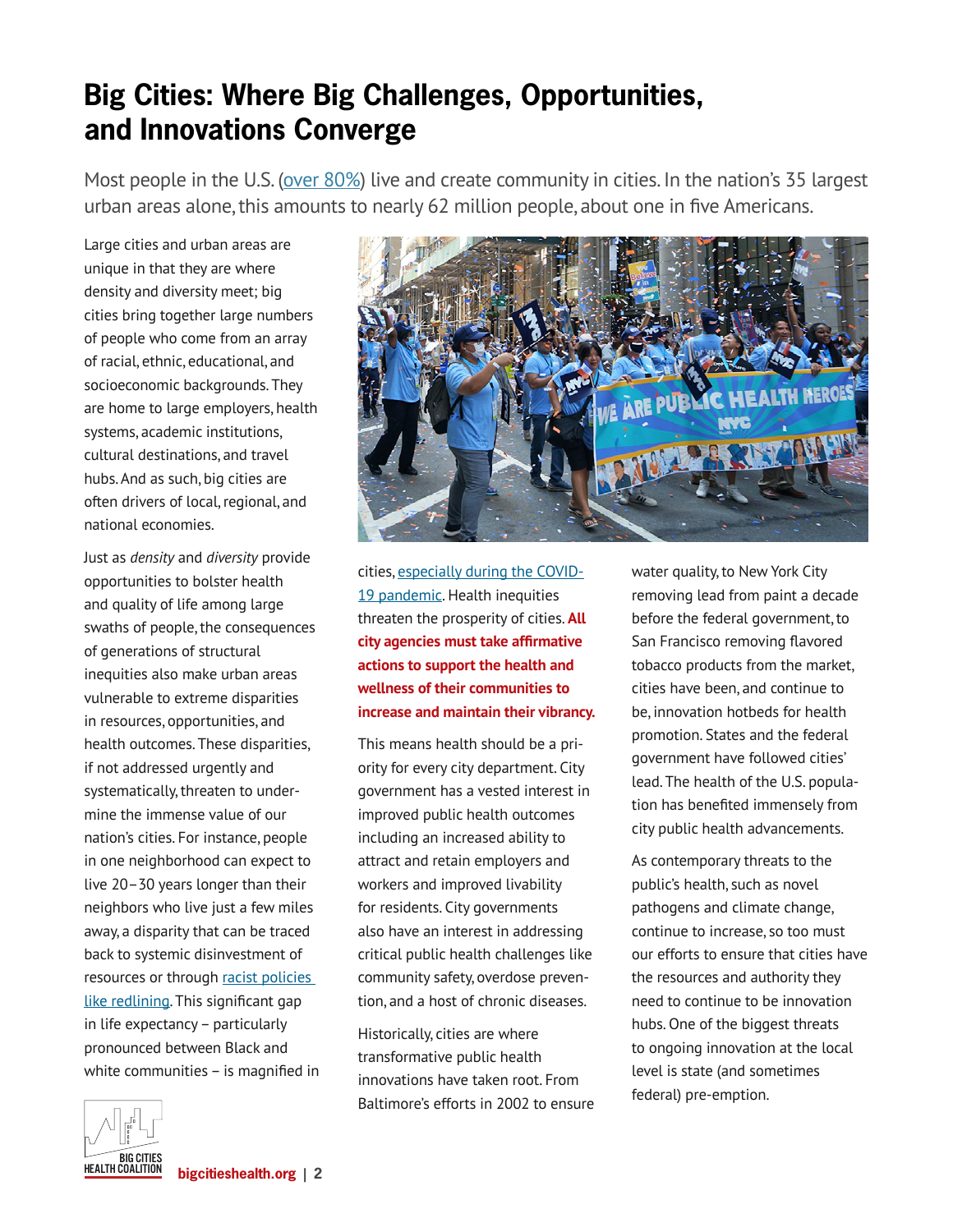## **Big Cities: Where Big Challenges, Opportunities, and Innovations Converge**

Most people in the U.S. [\(over 80%](https://css.umich.edu/factsheets/us-cities-factsheet)) live and create community in cities. In the nation's 35 largest urban areas alone, this amounts to nearly 62 million people, about one in five Americans.

Large cities and urban areas are unique in that they are where density and diversity meet; big cities bring together large numbers of people who come from an array of racial, ethnic, educational, and socioeconomic backgrounds. They are home to large employers, health systems, academic institutions, cultural destinations, and travel hubs. And as such, big cities are often drivers of local, regional, and national economies.

Just as *density* and *diversity* provide opportunities to bolster health and quality of life among large swaths of people, the consequences of generations of structural inequities also make urban areas vulnerable to extreme disparities in resources, opportunities, and health outcomes. These disparities, if not addressed urgently and systematically, threaten to undermine the immense value of our nation's cities. For instance, people in one neighborhood can expect to live 20–30 years longer than their neighbors who live just a few miles away, a disparity that can be traced back to systemic disinvestment of resources or through [racist policies](https://nyulangone.org/news/large-life-expectancy-gaps-us-cities-linked-racial-ethnic-segregation-neighborhood)  [like redlining](https://nyulangone.org/news/large-life-expectancy-gaps-us-cities-linked-racial-ethnic-segregation-neighborhood). This significant gap in life expectancy – particularly pronounced between Black and white communities – is magnified in



cities, [especially during the COVID-](https://www.pnas.org/content/118/5/e2014746118)[19 pandemic](https://www.pnas.org/content/118/5/e2014746118). Health inequities threaten the prosperity of cities. **All city agencies must take affirmative actions to support the health and wellness of their communities to increase and maintain their vibrancy.** 

This means health should be a priority for every city department. City government has a vested interest in improved public health outcomes including an increased ability to attract and retain employers and workers and improved livability for residents. City governments also have an interest in addressing critical public health challenges like community safety, overdose prevention, and a host of chronic diseases.

Historically, cities are where transformative public health innovations have taken root. From Baltimore's efforts in 2002 to ensure water quality, to New York City removing lead from paint a decade before the federal government, to San Francisco removing flavored tobacco products from the market, cities have been, and continue to be, innovation hotbeds for health promotion. States and the federal government have followed cities' lead. The health of the U.S. population has benefited immensely from city public health advancements.

As contemporary threats to the public's health, such as novel pathogens and climate change, continue to increase, so too must our efforts to ensure that cities have the resources and authority they need to continue to be innovation hubs. One of the biggest threats to ongoing innovation at the local level is state (and sometimes federal) pre-emption.

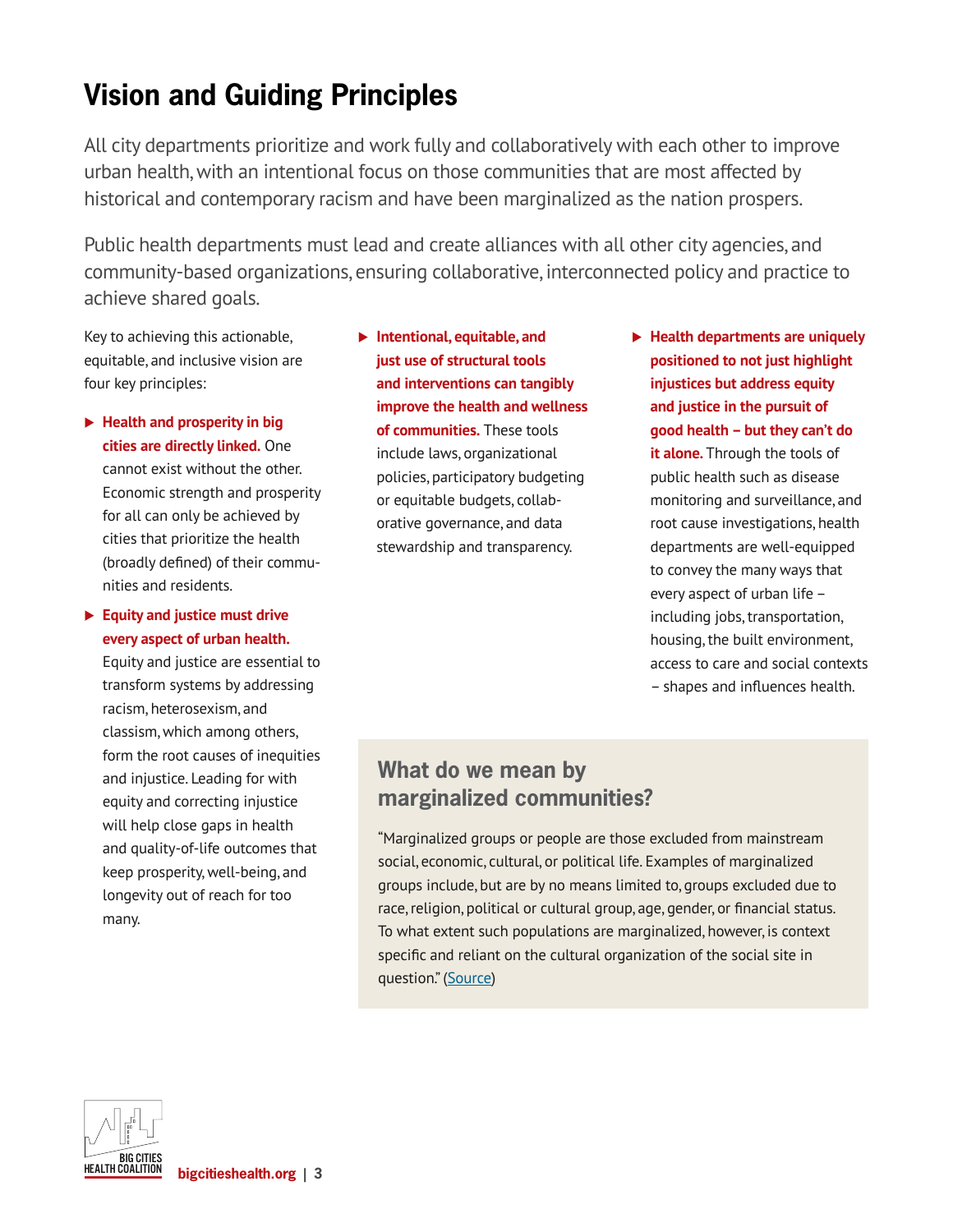## **Vision and Guiding Principles**

All city departments prioritize and work fully and collaboratively with each other to improve urban health, with an intentional focus on those communities that are most affected by historical and contemporary racism and have been marginalized as the nation prospers.

Public health departments must lead and create alliances with all other city agencies, and community-based organizations, ensuring collaborative, interconnected policy and practice to achieve shared goals.

Key to achieving this actionable, equitable, and inclusive vision are four key principles:

- **Health and prosperity in big cities are directly linked.** One cannot exist without the other. Economic strength and prosperity for all can only be achieved by cities that prioritize the health (broadly defined) of their communities and residents.
- **Equity and justice must drive every aspect of urban health.**

Equity and justice are essential to transform systems by addressing racism, heterosexism, and classism, which among others, form the root causes of inequities and injustice. Leading for with equity and correcting injustice will help close gaps in health and quality-of-life outcomes that keep prosperity, well-being, and longevity out of reach for too many.

 **Intentional, equitable, and just use of structural tools and interventions can tangibly improve the health and wellness of communities.** These tools include laws, organizational policies, participatory budgeting or equitable budgets, collaborative governance, and data stewardship and transparency.

 **Health departments are uniquely positioned to not just highlight injustices but address equity and justice in the pursuit of good health – but they can't do it alone.** Through the tools of public health such as disease monitoring and surveillance, and root cause investigations, health departments are well-equipped to convey the many ways that every aspect of urban life – including jobs, transportation, housing, the built environment, access to care and social contexts – shapes and influences health.

### **What do we mean by marginalized communities?**

"Marginalized groups or people are those excluded from mainstream social, economic, cultural, or political life. Examples of marginalized groups include, but are by no means limited to, groups excluded due to race, religion, political or cultural group, age, gender, or financial status. To what extent such populations are marginalized, however, is context specific and reliant on the cultural organization of the social site in question." ([Source\)](https://www.racialequitytools.org/glossary)

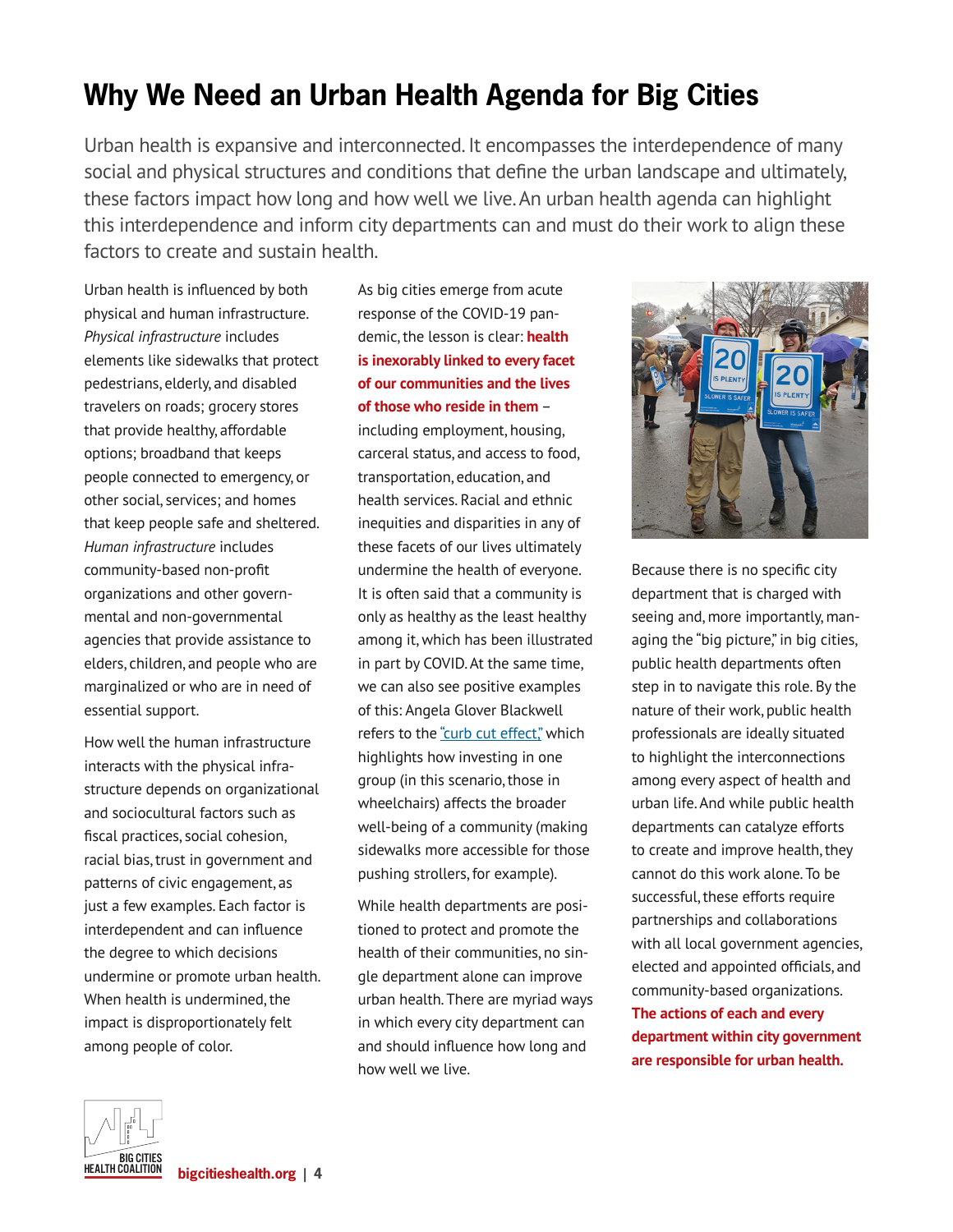## **Why We Need an Urban Health Agenda for Big Cities**

Urban health is expansive and interconnected. It encompasses the interdependence of many social and physical structures and conditions that define the urban landscape and ultimately, these factors impact how long and how well we live. An urban health agenda can highlight this interdependence and inform city departments can and must do their work to align these factors to create and sustain health.

Urban health is influenced by both physical and human infrastructure. *Physical infrastructure* includes elements like sidewalks that protect pedestrians, elderly, and disabled travelers on roads; grocery stores that provide healthy, affordable options; broadband that keeps people connected to emergency, or other social, services; and homes that keep people safe and sheltered. *Human infrastructure* includes community-based non-profit organizations and other governmental and non-governmental agencies that provide assistance to elders, children, and people who are marginalized or who are in need of essential support.

How well the human infrastructure interacts with the physical infrastructure depends on organizational and sociocultural factors such as fiscal practices, social cohesion, racial bias, trust in government and patterns of civic engagement, as just a few examples. Each factor is interdependent and can influence the degree to which decisions undermine or promote urban health. When health is undermined, the impact is disproportionately felt among people of color.

As big cities emerge from acute response of the COVID-19 pandemic, the lesson is clear: **health is inexorably linked to every facet of our communities and the lives of those who reside in them** – including employment, housing, carceral status, and access to food, transportation, education, and health services. Racial and ethnic inequities and disparities in any of these facets of our lives ultimately undermine the health of everyone. It is often said that a community is only as healthy as the least healthy among it, which has been illustrated in part by COVID. At the same time, we can also see positive examples of this: Angela Glover Blackwell refers to the ["curb cut effect,"](https://www.policylink.org/resources-tools/curb-cut-effect#:~:text=The%20Curb%2DCut%20Effect%2C%20in,of%20opportunity%2C%20and%20just%20society) which highlights how investing in one group (in this scenario, those in wheelchairs) affects the broader well-being of a community (making sidewalks more accessible for those pushing strollers, for example).

While health departments are positioned to protect and promote the health of their communities, no single department alone can improve urban health. There are myriad ways in which every city department can and should influence how long and how well we live.



Because there is no specific city department that is charged with seeing and, more importantly, managing the "big picture," in big cities, public health departments often step in to navigate this role. By the nature of their work, public health professionals are ideally situated to highlight the interconnections among every aspect of health and urban life. And while public health departments can catalyze efforts to create and improve health, they cannot do this work alone. To be successful, these efforts require partnerships and collaborations with all local government agencies, elected and appointed officials, and community-based organizations. **The actions of each and every department within city government are responsible for urban health.**

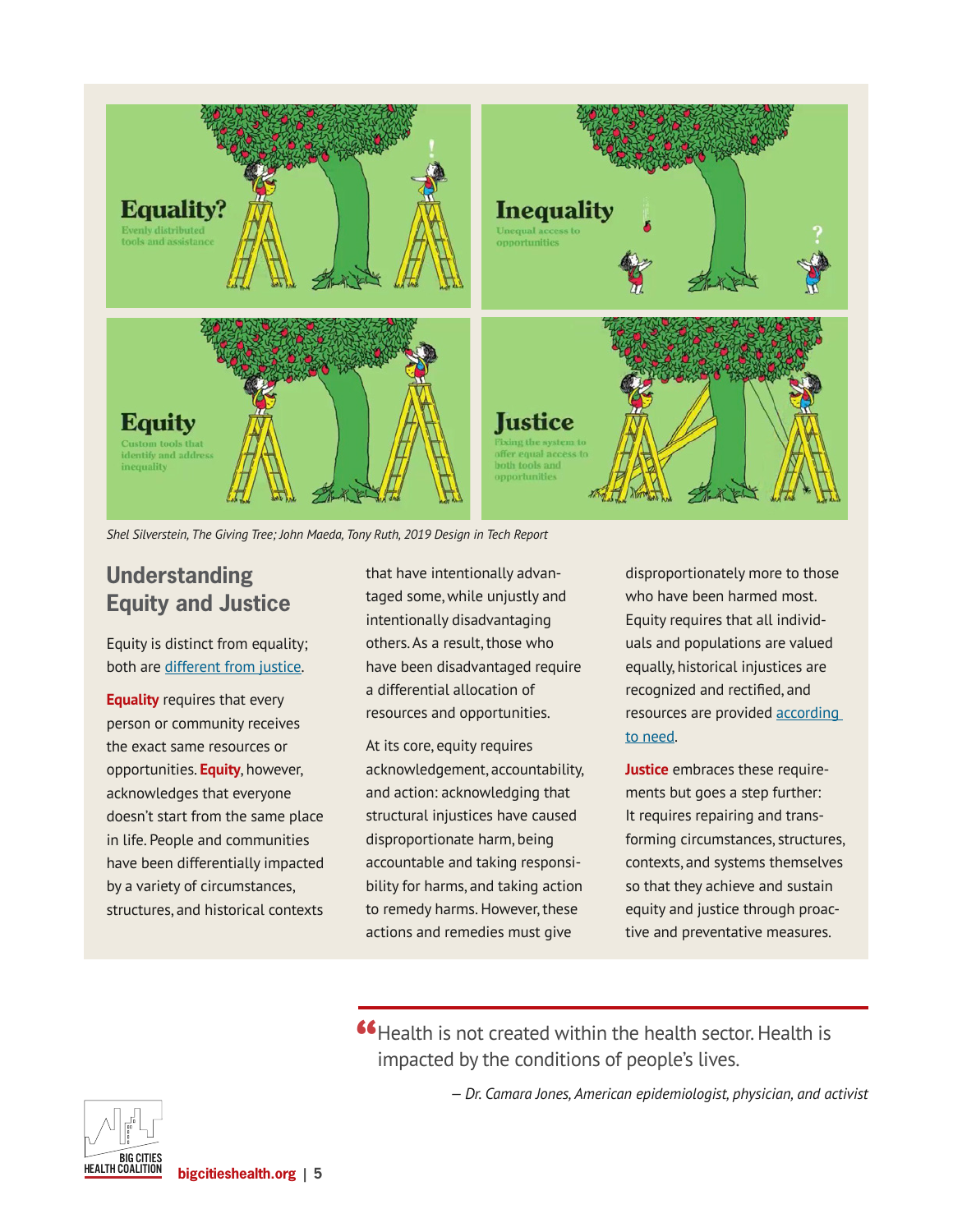

*Shel Silverstein, The Giving Tree; John Maeda, Tony Ruth, 2019 Design in Tech Report*

### **Understanding Equity and Justice**

Equity is distinct from equality; both are [different from justice.](https://onlinepublichealth.gwu.edu/resources/equity-vs-equality/)

**Equality** requires that every person or community receives the exact same resources or opportunities. **Equity**, however, acknowledges that everyone doesn't start from the same place in life. People and communities have been differentially impacted by a variety of circumstances, structures, and historical contexts

that have intentionally advantaged some, while unjustly and intentionally disadvantaging others. As a result, those who have been disadvantaged require a differential allocation of resources and opportunities.

At its core, equity requires acknowledgement, accountability, and action: acknowledging that structural injustices have caused disproportionate harm, being accountable and taking responsibility for harms, and taking action to remedy harms. However, these actions and remedies must give

disproportionately more to those who have been harmed most. Equity requires that all individuals and populations are valued equally, historical injustices are recognized and rectified, and resources are provided [according](http://media.morehousetcc.org/RESOURCES/PUBLICATIONS_and_DELIVERABLES/Jones Systems of Power.pdf)  [to need.](http://media.morehousetcc.org/RESOURCES/PUBLICATIONS_and_DELIVERABLES/Jones Systems of Power.pdf)

**Justice** embraces these requirements but goes a step further: It requires repairing and transforming circumstances, structures, contexts, and systems themselves so that they achieve and sustain equity and justice through proactive and preventative measures.

**"**Health is not created within the health sector. Health is impacted by the conditions of people's lives. impacted by the conditions of people's lives.

*— Dr. Camara Jones, American epidemiologist, physician, and activist*

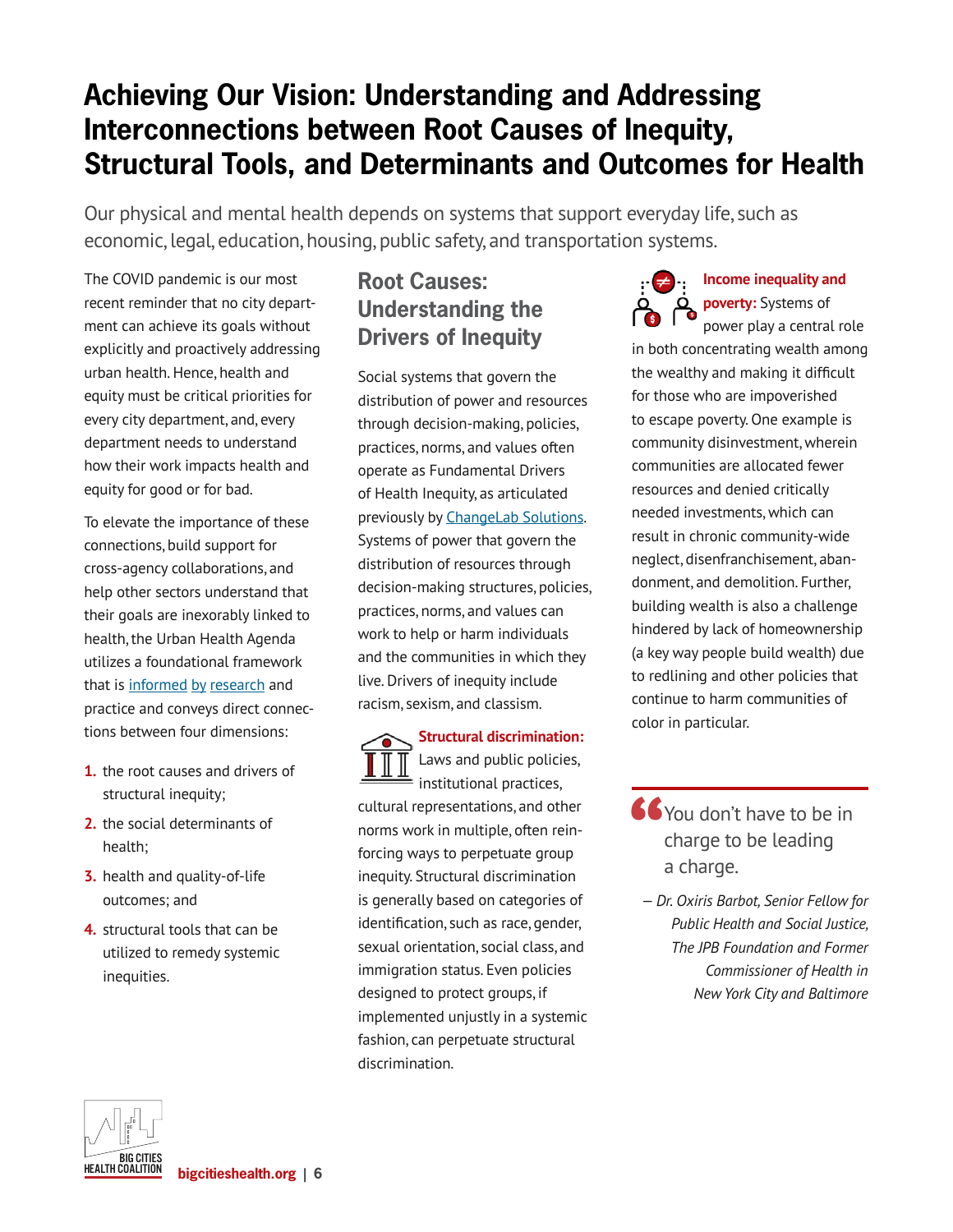## **Achieving Our Vision: Understanding and Addressing Interconnections between Root Causes of Inequity, Structural Tools, and Determinants and Outcomes for Health**

Our physical and mental health depends on systems that support everyday life, such as economic, legal, education, housing, public safety, and transportation systems.

The COVID pandemic is our most recent reminder that no city department can achieve its goals without explicitly and proactively addressing urban health. Hence, health and equity must be critical priorities for every city department, and, every department needs to understand how their work impacts health and equity for good or for bad.

To elevate the importance of these connections, build support for cross-agency collaborations, and help other sectors understand that their goals are inexorably linked to health, the Urban Health Agenda utilizes a foundational framework that is [informed](https://blog.petrieflom.law.harvard.edu/2020/09/22/structural-racism-social-determinant-of-health/) [by](https://www.safestates.org/page/ConnectionsLabCompleteSRPFApproachConceptualModel) [research](https://www.changelabsolutions.org/sites/default/files/2019-04/Blueprint-For-Changemakers_FINAL_201904.pdf) and practice and conveys direct connections between four dimensions:

- **1.** the root causes and drivers of structural inequity;
- **2.** the social determinants of health;
- **3.** health and quality-of-life outcomes; and
- **4.** structural tools that can be utilized to remedy systemic inequities.

## **Root Causes: Understanding the Drivers of Inequity**

Social systems that govern the distribution of power and resources through decision-making, policies, practices, norms, and values often operate as Fundamental Drivers of Health Inequity, as articulated previously by [ChangeLab Solutions](https://www.changelabsolutions.org/sites/default/files/2019-04/Blueprint-For-Changemakers_FINAL_201904.pdf). Systems of power that govern the distribution of resources through decision-making structures, policies, practices, norms, and values can work to help or harm individuals and the communities in which they live. Drivers of inequity include racism, sexism, and classism.

**Structural discrimination:** Laws and public policies, institutional practices, cultural representations, and other norms work in multiple, often reinforcing ways to perpetuate group inequity. Structural discrimination is generally based on categories of identification, such as race, gender, sexual orientation, social class, and immigration status. Even policies designed to protect groups, if implemented unjustly in a systemic fashion, can perpetuate structural discrimination.

**Income inequality and poverty:** Systems of power play a central role

in both concentrating wealth among the wealthy and making it difficult for those who are impoverished to escape poverty. One example is community disinvestment, wherein communities are allocated fewer resources and denied critically needed investments, which can result in chronic community-wide neglect, disenfranchisement, abandonment, and demolition. Further, building wealth is also a challenge hindered by lack of homeownership (a key way people build wealth) due to redlining and other policies that continue to harm communities of color in particular.

- **Solution** of that the incharge to be leading<br>
a charge. charge to be leading a charge.
	- *Dr. Oxiris Barbot, Senior Fellow for Public Health and Social Justice, The JPB Foundation and Former Commissioner of Health in New York City and Baltimore*

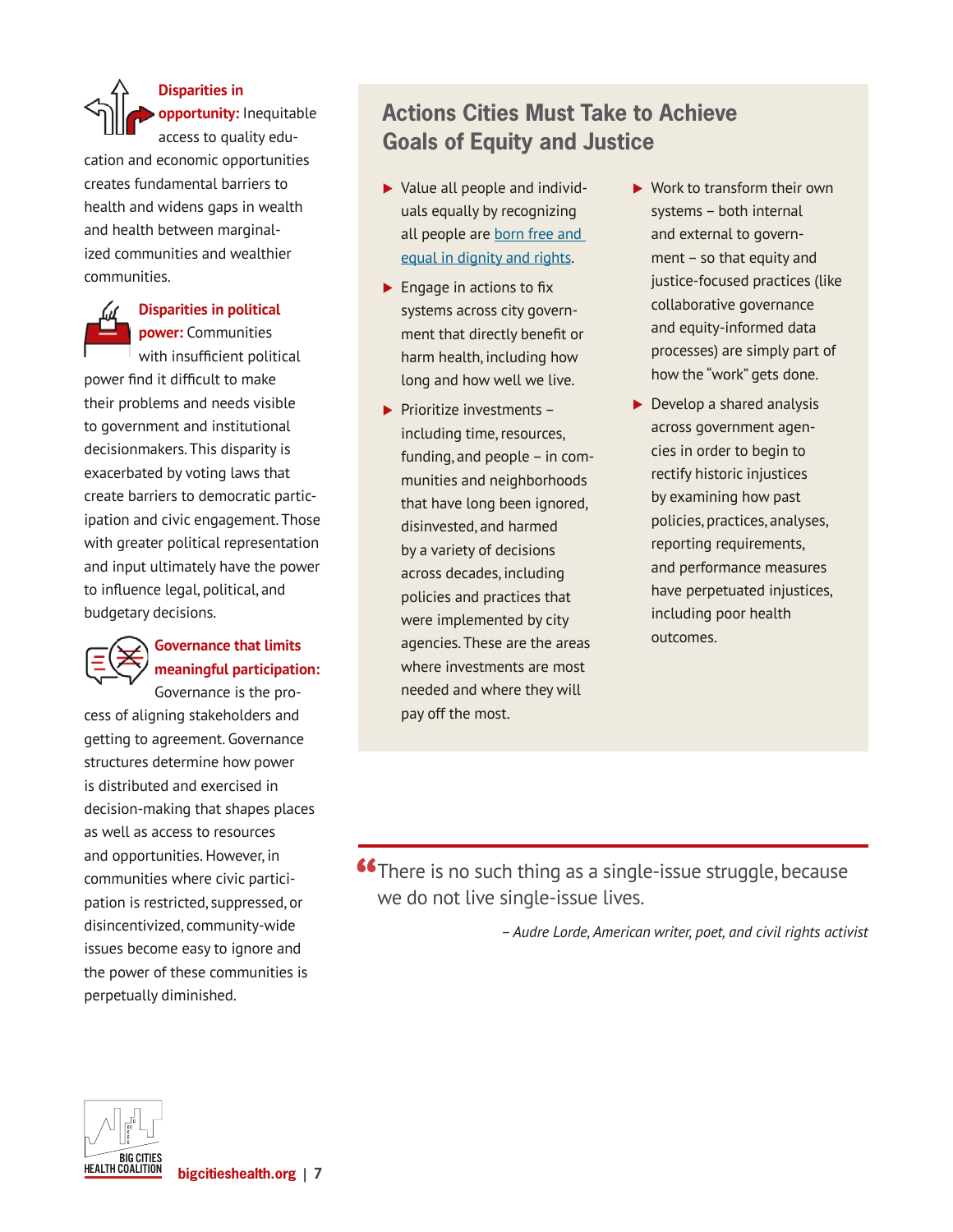**Disparities in opportunity:** Inequitable access to quality edu-

cation and economic opportunities creates fundamental barriers to health and widens gaps in wealth and health between marginalized communities and wealthier communities.



#### **Disparities in political power:** Communities

with insufficient political

power find it difficult to make their problems and needs visible to government and institutional decisionmakers. This disparity is exacerbated by voting laws that create barriers to democratic participation and civic engagement. Those with greater political representation and input ultimately have the power to influence legal, political, and budgetary decisions.

### **Governance that limits meaningful participation:**

Governance is the process of aligning stakeholders and getting to agreement. Governance structures determine how power is distributed and exercised in decision-making that shapes places as well as access to resources and opportunities. However, in communities where civic participation is restricted, suppressed, or disincentivized, community-wide issues become easy to ignore and the power of these communities is perpetually diminished.

## **Actions Cities Must Take to Achieve Goals of Equity and Justice**

- ▶ Value all people and individuals equally by recognizing all people are [born free and](https://www.unicef.org/armenia/en/stories/international-human-rights-framework)  [equal in dignity and rights](https://www.unicef.org/armenia/en/stories/international-human-rights-framework).
- $\blacktriangleright$  Engage in actions to fix systems across city government that directly benefit or harm health, including how long and how well we live.
- $\blacktriangleright$  Prioritize investments including time, resources, funding, and people – in communities and neighborhoods that have long been ignored, disinvested, and harmed by a variety of decisions across decades, including policies and practices that were implemented by city agencies. These are the areas where investments are most needed and where they will pay off the most.
- $\blacktriangleright$  Work to transform their own systems – both internal and external to government – so that equity and justice-focused practices (like collaborative governance and equity-informed data processes) are simply part of how the "work" gets done.
- $\blacktriangleright$  Develop a shared analysis across government agencies in order to begin to rectify historic injustices by examining how past policies, practices, analyses, reporting requirements, and performance measures have perpetuated injustices, including poor health outcomes.

**"**There is no such thing as a single-issue struggle, because we do not live single-issue lives. we do not live single-issue lives.

*– Audre Lorde, American writer, poet, and civil rights activist*

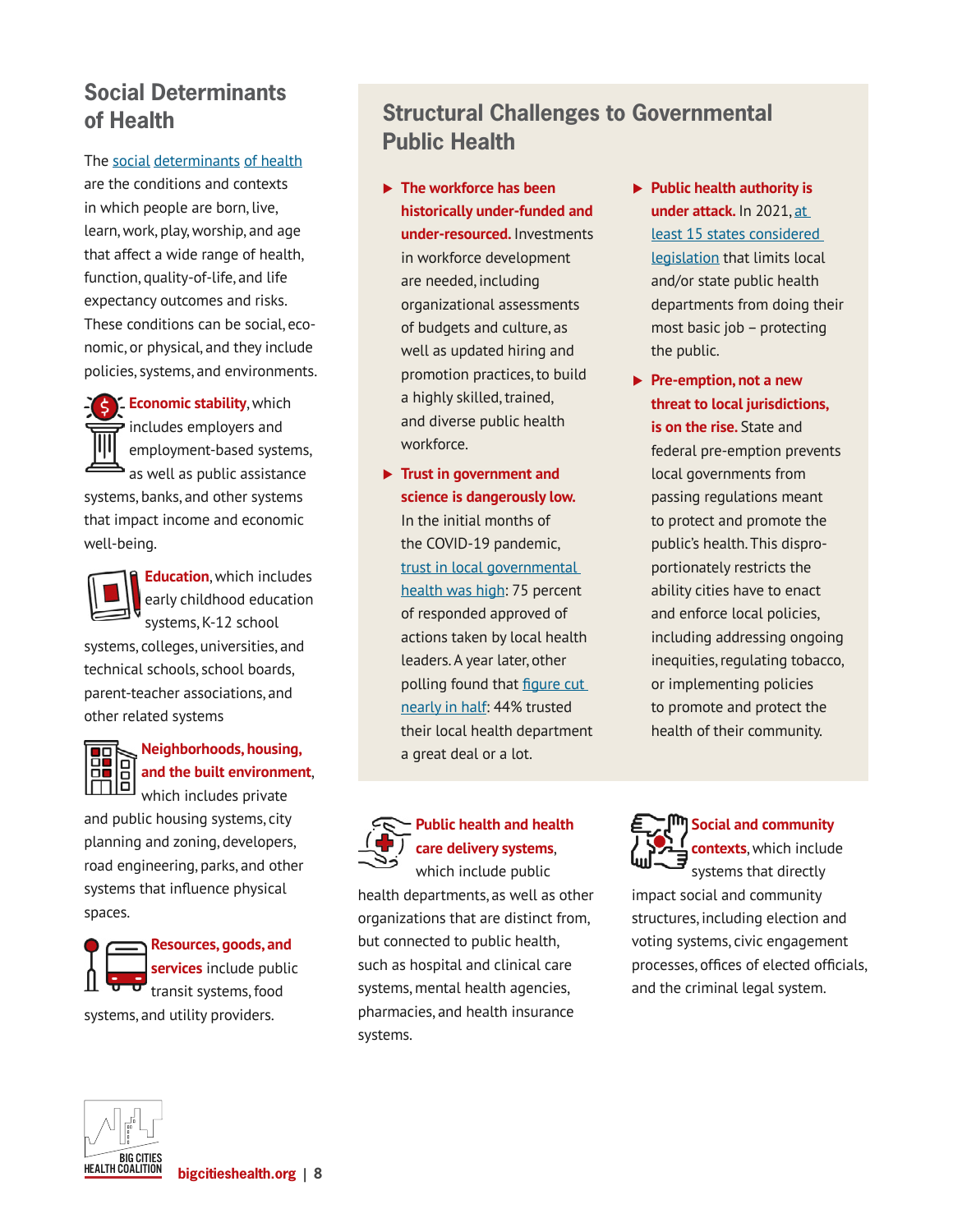## **Social Determinants of Health**

The [social](https://www.safestates.org/resource/resmgr/connections_lab/glossary_citation/SDoH_Healthy_People_2020.pdf) [determinants](https://www.safestates.org/resource/resmgr/connections_lab/glossary_citation/SDOH_defintion_CDC.pdf) of health are the conditions and contexts in which people are born, live, learn, work, play, worship, and age that affect a wide range of health, function, quality-of-life, and life expectancy outcomes and risks. These conditions can be social, economic, or physical, and they include policies, systems, and environments.

> **Economic stability**, which includes employers and employment-based systems, as well as public assistance

systems, banks, and other systems that impact income and economic well-being.



**Education**, which includes early childhood education systems, K-12 school

systems, colleges, universities, and technical schools, school boards, parent-teacher associations, and other related systems

#### **Neighborhoods, housing,<br>
<b>DE** B and the built environment **and the built environment**, which includes private

and public housing systems, city planning and zoning, developers, road engineering, parks, and other systems that influence physical spaces.

**Resources, goods, and services** include public transit systems, food systems, and utility providers.

## **Structural Challenges to Governmental Public Health**

- **The workforce has been historically under-funded and under-resourced.** Investments in workforce development are needed, including organizational assessments of budgets and culture, as well as updated hiring and promotion practices, to build a highly skilled, trained, and diverse public health workforce.
- **Trust in government and science is dangerously low.** In the initial months of the COVID-19 pandemic, [trust in local governmental](https://www.bigcitieshealth.org/newsroom-press-releasenew-estimates)  [health was high](https://www.bigcitieshealth.org/newsroom-press-releasenew-estimates): 75 percent of responded approved of actions taken by local health leaders. A year later, other polling found that [figure cut](https://www.npr.org/2021/05/13/996331692/poll-finds-public-health-has-a-trust-problem)  [nearly in half:](https://www.npr.org/2021/05/13/996331692/poll-finds-public-health-has-a-trust-problem) 44% trusted their local health department a great deal or a lot.



#### **Public health and health care delivery systems**,

which include public health departments, as well as other organizations that are distinct from, but connected to public health, such as hospital and clinical care systems, mental health agencies, pharmacies, and health insurance systems.

- **Public health authority is under attack.** In 2021, [at](https://www.networkforphl.org/resources/proposed-limits-on-public-health-authority-dangerous-for-public-health-3)  [least 15 states considered](https://www.networkforphl.org/resources/proposed-limits-on-public-health-authority-dangerous-for-public-health-3)  [legislation](https://www.networkforphl.org/resources/proposed-limits-on-public-health-authority-dangerous-for-public-health-3) that limits local and/or state public health departments from doing their most basic job – protecting the public.
- **Pre-emption, not a new threat to local jurisdictions, is on the rise.** State and federal pre-emption prevents local governments from passing regulations meant to protect and promote the public's health. This disproportionately restricts the ability cities have to enact and enforce local policies, including addressing ongoing inequities, regulating tobacco, or implementing policies to promote and protect the health of their community.

**Social and community contexts**, which include systems that directly impact social and community structures, including election and voting systems, civic engagement processes, offices of elected officials, and the criminal legal system.

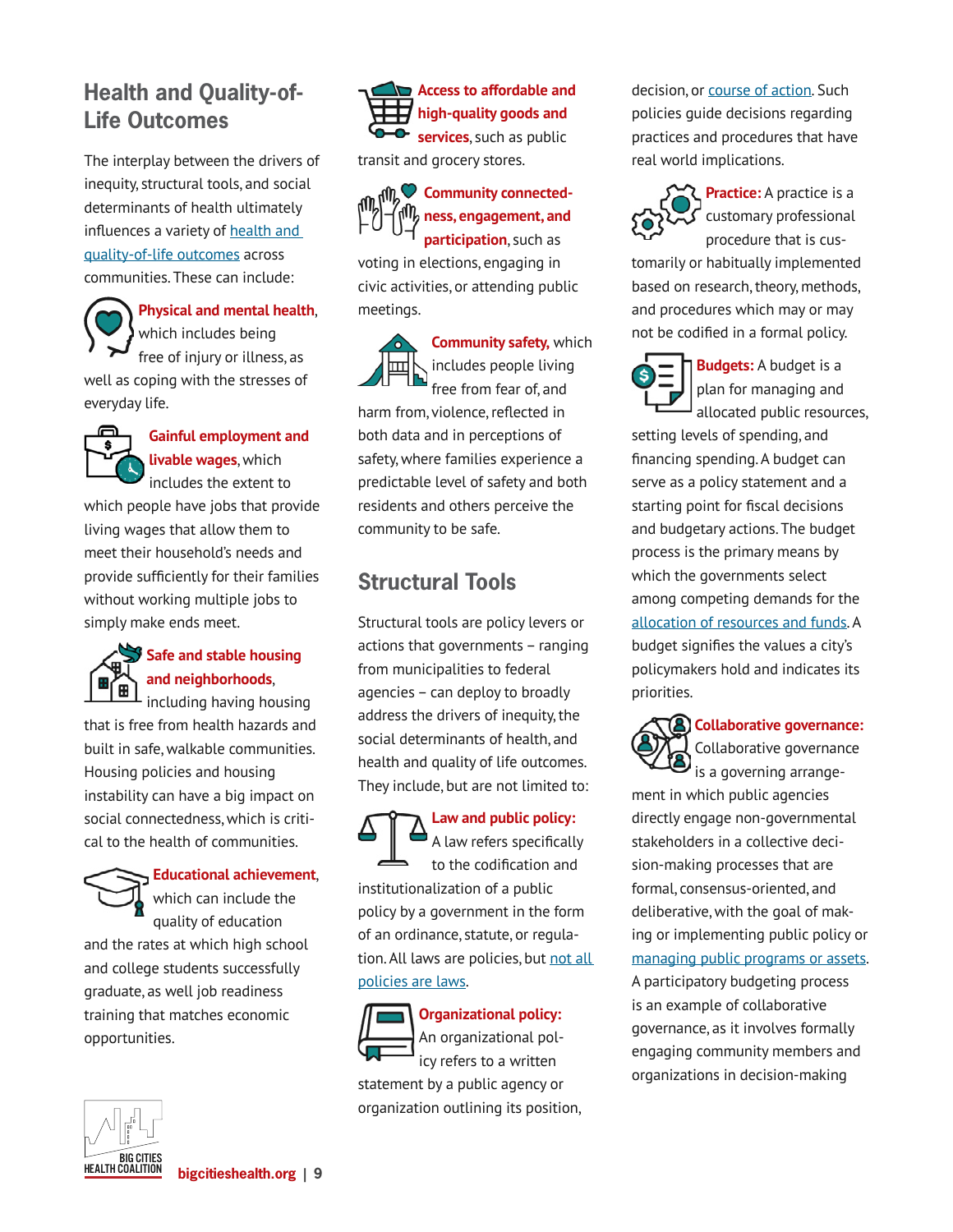## **Health and Quality-of-Life Outcomes**

The interplay between the drivers of inequity, structural tools, and social determinants of health ultimately influences a variety of health and [quality-of-life outcomes](https://www.safestates.org/page/ConnectionsLabCompleteSRPFApproachConceptualModel) across communities. These can include:

**Physical and mental health**, which includes being free of injury or illness, as well as coping with the stresses of everyday life.



**Gainful employment and livable wages**, which includes the extent to

which people have jobs that provide living wages that allow them to meet their household's needs and provide sufficiently for their families without working multiple jobs to simply make ends meet.



### **Safe and stable housing and neighborhoods**,

including having housing that is free from health hazards and built in safe, walkable communities. Housing policies and housing instability can have a big impact on social connectedness, which is critical to the health of communities.

### **Educational achievement**, which can include the quality of education

and the rates at which high school and college students successfully graduate, as well job readiness training that matches economic opportunities.





transit and grocery stores.



voting in elections, engaging in civic activities, or attending public meetings.



**Community safety,** which includes people living free from fear of, and

harm from, violence, reflected in both data and in perceptions of safety, where families experience a predictable level of safety and both residents and others perceive the community to be safe.

## **Structural Tools**

Structural tools are policy levers or actions that governments – ranging from municipalities to federal agencies – can deploy to broadly address the drivers of inequity, the social determinants of health, and health and quality of life outcomes. They include, but are not limited to:

## **Law and public policy:**

A law refers specifically to the codification and institutionalization of a public policy by a government in the form of an ordinance, statute, or regulation. All laws are policies, but not all [policies are laws](https://www.changelabsolutions.org/sites/default/files/2019-04/Blueprint-For-Changemakers_FINAL_201904.pdf).



**Organizational policy:**  An organizational policy refers to a written

statement by a public agency or organization outlining its position, decision, or [course of action](https://www.changelabsolutions.org/sites/default/files/2019-04/Blueprint-For-Changemakers_FINAL_201904.pdf). Such policies guide decisions regarding practices and procedures that have real world implications.



**Practice:** A practice is a customary professional procedure that is cus-

tomarily or habitually implemented based on research, theory, methods, and procedures which may or may not be codified in a formal policy.



**Budgets:** A budget is a plan for managing and allocated public resources,

setting levels of spending, and financing spending. A budget can serve as a policy statement and a starting point for fiscal decisions and budgetary actions. The budget process is the primary means by which the governments select among competing demands for the [allocation of resources and funds](https://www.gao.gov/assets/gao-05-734sp.pdf). A budget signifies the values a city's policymakers hold and indicates its priorities.



**Collaborative governance:**  Collaborative governance

ment in which public agencies directly engage non-governmental stakeholders in a collective decision-making processes that are formal, consensus-oriented, and deliberative, with the goal of making or implementing public policy or [managing public programs or assets.](http://marphli.pbworks.com/w/file/fetch/55667103/Collaborative_governance_theory.pdf) A participatory budgeting process is an example of collaborative governance, as it involves formally engaging community members and organizations in decision-making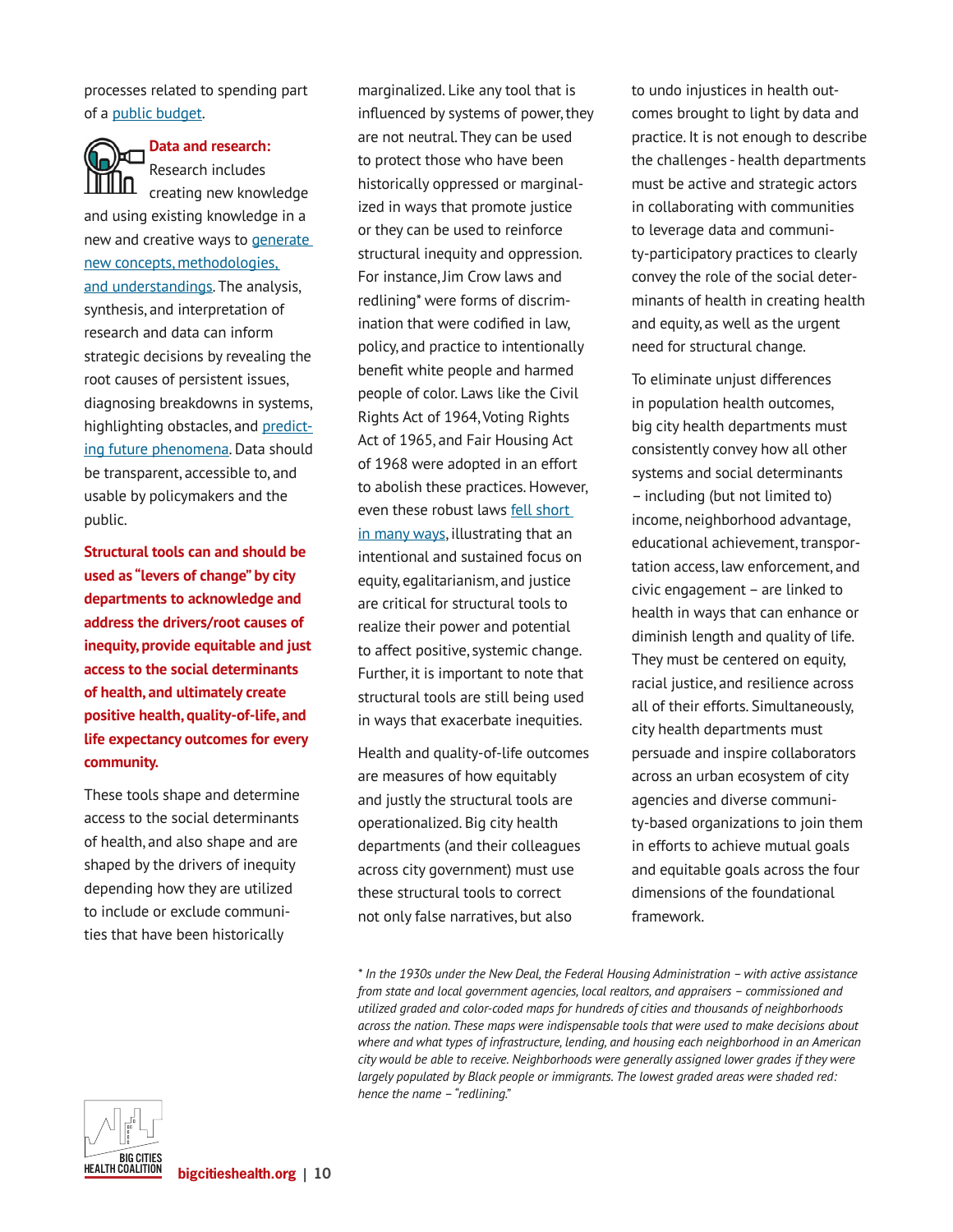processes related to spending part of a [public budget.](https://council.nyc.gov/pb/)

**Data and research:**  Research includes

creating new knowledge and using existing knowledge in a new and creative ways to [generate](https://www.westernsydney.edu.au/research/researchers/preparing_a_grant_application/dest_definition_of_research)  [new concepts, methodologies,](https://www.westernsydney.edu.au/research/researchers/preparing_a_grant_application/dest_definition_of_research)  [and understandings.](https://www.westernsydney.edu.au/research/researchers/preparing_a_grant_application/dest_definition_of_research) The analysis, synthesis, and interpretation of research and data can inform strategic decisions by revealing the root causes of persistent issues, diagnosing breakdowns in systems, highlighting obstacles, and [predict](https://www.pewtrusts.org/en/research-and-analysis/reports/2018/02/how-states-use-data-to-inform-decisions#:~:text=Additionally%2C%20data%20analytics%20can%20reveal,and%20make%20more%20strategic%20decisions.)[ing future phenomena](https://www.pewtrusts.org/en/research-and-analysis/reports/2018/02/how-states-use-data-to-inform-decisions#:~:text=Additionally%2C%20data%20analytics%20can%20reveal,and%20make%20more%20strategic%20decisions.). Data should be transparent, accessible to, and usable by policymakers and the public.

**Structural tools can and should be used as "levers of change" by city departments to acknowledge and address the drivers/root causes of inequity, provide equitable and just access to the social determinants of health, and ultimately create positive health, quality-of-life, and life expectancy outcomes for every community.** 

These tools shape and determine access to the social determinants of health, and also shape and are shaped by the drivers of inequity depending how they are utilized to include or exclude communities that have been historically

marginalized. Like any tool that is influenced by systems of power, they are not neutral. They can be used to protect those who have been historically oppressed or marginalized in ways that promote justice or they can be used to reinforce structural inequity and oppression. For instance, Jim Crow laws and redlining\* were forms of discrimination that were codified in law, policy, and practice to intentionally benefit white people and harmed people of color. Laws like the Civil Rights Act of 1964, Voting Rights Act of 1965, and Fair Housing Act of 1968 were adopted in an effort to abolish these practices. However, even these robust laws [fell short](https://www.nytimes.com/2013/06/26/us/supreme-court-ruling.html)  [in many ways](https://www.nytimes.com/2013/06/26/us/supreme-court-ruling.html), illustrating that an intentional and sustained focus on equity, egalitarianism, and justice are critical for structural tools to realize their power and potential to affect positive, systemic change. Further, it is important to note that structural tools are still being used in ways that exacerbate inequities.

Health and quality-of-life outcomes are measures of how equitably and justly the structural tools are operationalized. Big city health departments (and their colleagues across city government) must use these structural tools to correct not only false narratives, but also

to undo injustices in health outcomes brought to light by data and practice. It is not enough to describe the challenges - health departments must be active and strategic actors in collaborating with communities to leverage data and community-participatory practices to clearly convey the role of the social determinants of health in creating health and equity, as well as the urgent need for structural change.

To eliminate unjust differences in population health outcomes, big city health departments must consistently convey how all other systems and social determinants – including (but not limited to) income, neighborhood advantage, educational achievement, transportation access, law enforcement, and civic engagement – are linked to health in ways that can enhance or diminish length and quality of life. They must be centered on equity, racial justice, and resilience across all of their efforts. Simultaneously, city health departments must persuade and inspire collaborators across an urban ecosystem of city agencies and diverse community-based organizations to join them in efforts to achieve mutual goals and equitable goals across the four dimensions of the foundational framework.



*<sup>\*</sup> In the 1930s under the New Deal, the Federal Housing Administration – with active assistance from state and local government agencies, local realtors, and appraisers – commissioned and utilized graded and color-coded maps for hundreds of cities and thousands of neighborhoods across the nation. These maps were indispensable tools that were used to make decisions about where and what types of infrastructure, lending, and housing each neighborhood in an American city would be able to receive. Neighborhoods were generally assigned lower grades if they were largely populated by Black people or immigrants. The lowest graded areas were shaded red: hence the name – "redlining."*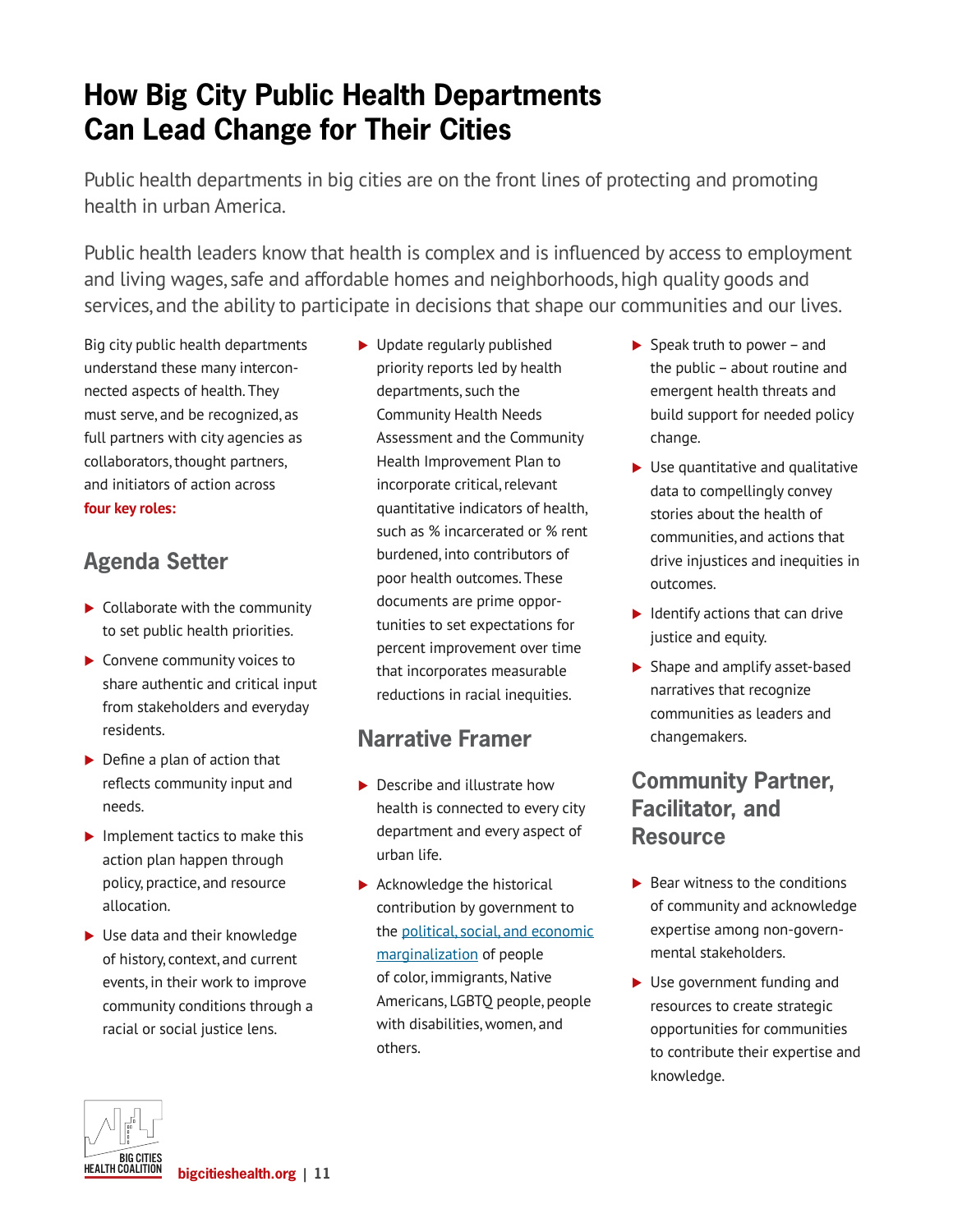## **How Big City Public Health Departments Can Lead Change for Their Cities**

Public health departments in big cities are on the front lines of protecting and promoting health in urban America.

Public health leaders know that health is complex and is influenced by access to employment and living wages, safe and affordable homes and neighborhoods, high quality goods and services, and the ability to participate in decisions that shape our communities and our lives.

Big city public health departments understand these many interconnected aspects of health. They must serve, and be recognized, as full partners with city agencies as collaborators, thought partners, and initiators of action across **four key roles:**

## **Agenda Setter**

- $\blacktriangleright$  Collaborate with the community to set public health priorities.
- ▶ Convene community voices to share authentic and critical input from stakeholders and everyday residents.
- $\blacktriangleright$  Define a plan of action that reflects community input and needs.
- $\blacktriangleright$  Implement tactics to make this action plan happen through policy, practice, and resource allocation.
- ▶ Use data and their knowledge of history, context, and current events, in their work to improve community conditions through a racial or social justice lens.

▶ Update regularly published priority reports led by health departments, such the Community Health Needs Assessment and the Community Health Improvement Plan to incorporate critical, relevant quantitative indicators of health, such as % incarcerated or % rent burdened, into contributors of poor health outcomes. These documents are prime opportunities to set expectations for percent improvement over time that incorporates measurable reductions in racial inequities.

## **Narrative Framer**

- ▶ Describe and illustrate how health is connected to every city department and every aspect of urban life.
- $\blacktriangleright$  Acknowledge the historical contribution by government to the [political, social, and economic](https://healthequityguide.org/strategic-practices/develop-a-shared-analysis)  [marginalization](https://healthequityguide.org/strategic-practices/develop-a-shared-analysis) of people of color, immigrants, Native Americans, LGBTQ people, people with disabilities, women, and others.
- $\triangleright$  Speak truth to power and the public – about routine and emergent health threats and build support for needed policy change.
- $\blacktriangleright$  Use quantitative and qualitative data to compellingly convey stories about the health of communities, and actions that drive injustices and inequities in outcomes.
- $\blacktriangleright$  Identify actions that can drive justice and equity.
- ▶ Shape and amplify asset-based narratives that recognize communities as leaders and changemakers.

## **Community Partner, Facilitator, and Resource**

- $\blacktriangleright$  Bear witness to the conditions of community and acknowledge expertise among non-governmental stakeholders.
- ▶ Use government funding and resources to create strategic opportunities for communities to contribute their expertise and knowledge.